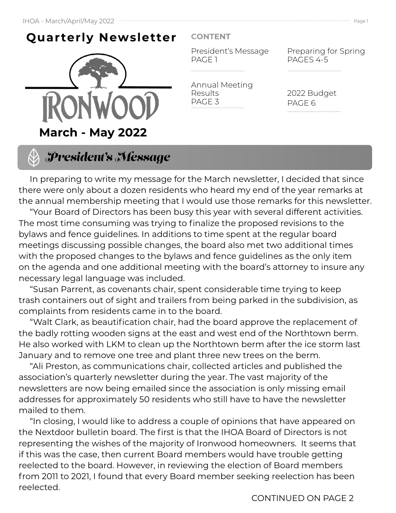## **Quarterly Newsletter**



#### **CONTENT**

President's Message PAGE 1

Annual Meeting Results PAGE 3

Preparing for Spring PAGES 4-5

2022 Budget PAGE 6



 In preparing to write my message for the March newsletter, I decided that since there were only about a dozen residents who heard my end of the year remarks at the annual membership meeting that I would use those remarks for this newsletter.

 "Your Board of Directors has been busy this year with several different activities. The most time consuming was trying to finalize the proposed revisions to the bylaws and fence guidelines. In additions to time spent at the regular board meetings discussing possible changes, the board also met two additional times with the proposed changes to the bylaws and fence guidelines as the only item on the agenda and one additional meeting with the board's attorney to insure any necessary legal language was included.

 "Susan Parrent, as covenants chair, spent considerable time trying to keep trash containers out of sight and trailers from being parked in the subdivision, as complaints from residents came in to the board.

 "Walt Clark, as beautification chair, had the board approve the replacement of the badly rotting wooden signs at the east and west end of the Northtown berm. He also worked with LKM to clean up the Northtown berm after the ice storm last January and to remove one tree and plant three new trees on the berm.

 "Ali Preston, as communications chair, collected articles and published the association's quarterly newsletter during the year. The vast majority of the newsletters are now being emailed since the association is only missing email addresses for approximately 50 residents who still have to have the newsletter mailed to them.

 "In closing, I would like to address a couple of opinions that have appeared on the Nextdoor bulletin board. The first is that the IHOA Board of Directors is not representing the wishes of the majority of Ironwood homeowners. It seems that if this was the case, then current Board members would have trouble getting reelected to the board. However, in reviewing the election of Board members from 2011 to 2021, I found that every Board member seeking reelection has been reelected.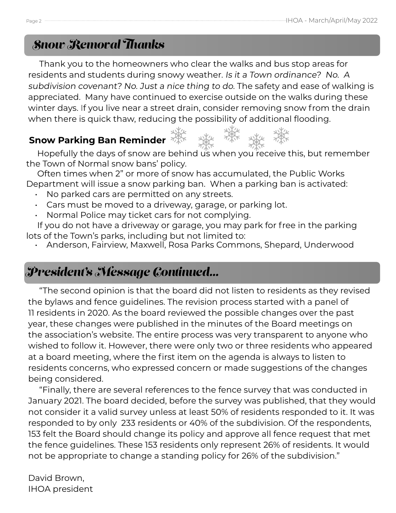## *Snow Removal Thanks*

 Thank you to the homeowners who clear the walks and bus stop areas for residents and students during snowy weather. Is it a Town ordinance? No. A subdivision covenant? No. Just a nice thing to do. The safety and ease of walking is appreciated. Many have continued to exercise outside on the walks during these winter days. If you live near a street drain, consider removing snow from the drain when there is quick thaw, reducing the possibility of additional flooding.

### **Snow Parking Ban Reminder**

Hopefully the days of snow are behind us when you receive this, but remember the Town of Normal snow bans' policy.

 Often times when 2" or more of snow has accumulated, the Public Works Department will issue a snow parking ban. When a parking ban is activated:

- No parked cars are permitted on any streets.
- Cars must be moved to a driveway, garage, or parking lot.
- Normal Police may ticket cars for not complying.

 If you do not have a driveway or garage, you may park for free in the parking lots of the Town's parks, including but not limited to:

• Anderson, Fairview, Maxwell, Rosa Parks Commons, Shepard, Underwood

## *President's Message Continued...*

 "The second opinion is that the board did not listen to residents as they revised the bylaws and fence guidelines. The revision process started with a panel of 11 residents in 2020. As the board reviewed the possible changes over the past year, these changes were published in the minutes of the Board meetings on the association's website. The entire process was very transparent to anyone who wished to follow it. However, there were only two or three residents who appeared at a board meeting, where the first item on the agenda is always to listen to residents concerns, who expressed concern or made suggestions of the changes being considered.

 "Finally, there are several references to the fence survey that was conducted in January 2021. The board decided, before the survey was published, that they would not consider it a valid survey unless at least 50% of residents responded to it. It was responded to by only 233 residents or 40% of the subdivision. Of the respondents, 153 felt the Board should change its policy and approve all fence request that met the fence guidelines. These 153 residents only represent 26% of residents. It would not be appropriate to change a standing policy for 26% of the subdivision."

David Brown, IHOA president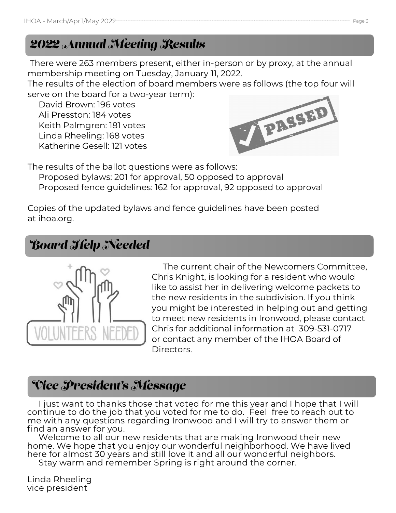## *2022 Annual Meeting Results*

 There were 263 members present, either in-person or by proxy, at the annual membership meeting on Tuesday, January 11, 2022.

The results of the election of board members were as follows (the top four will serve on the board for a two-year term):

 David Brown: 196 votes Ali Presston: 184 votes Keith Palmgren: 181 votes Linda Rheeling: 168 votes Katherine Gesell: 121 votes



The results of the ballot questions were as follows: Proposed bylaws: 201 for approval, 50 opposed to approval Proposed fence guidelines: 162 for approval, 92 opposed to approval

Copies of the updated bylaws and fence guidelines have been posted at ihoa.org.

## *Board Help Needed*



 The current chair of the Newcomers Committee, Chris Knight, is looking for a resident who would like to assist her in delivering welcome packets to the new residents in the subdivision. If you think you might be interested in helping out and getting to meet new residents in Ironwood, please contact Chris for additional information at 309-531-0717 or contact any member of the IHOA Board of Directors.

## *Vice President's Message*

 I just want to thanks those that voted for me this year and I hope that I will continue to do the job that you voted for me to do. Feel free to reach out to me with any questions regarding Ironwood and I will try to answer them or find an answer for you.

Welcome to all our new residents that are making Ironwood their new home. We hope that you enjoy our wonderful neighborhood. We have lived here for almost 30 years and still love it and all our wonderful neighbors.

Stay warm and remember Spring is right around the corner.

Linda Rheeling vice president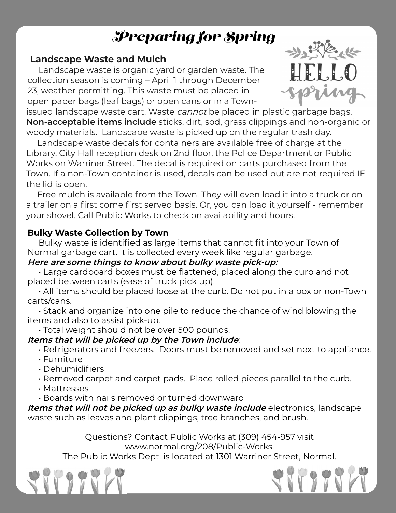# *Preparing for Spring*

#### **Landscape Waste and Mulch**

 Landscape waste is organic yard or garden waste. The collection season is coming – April 1 through December 23, weather permitting. This waste must be placed in open paper bags (leaf bags) or open cans or in a Town-



issued landscape waste cart. Waste *cannot* be placed in plastic garbage bags. **Non-acceptable items include** sticks, dirt, sod, grass clippings and non-organic or woody materials. Landscape waste is picked up on the regular trash day.

 Landscape waste decals for containers are available free of charge at the Library, City Hall reception desk on 2nd floor, the Police Department or Public Works on Warriner Street. The decal is required on carts purchased from the Town. If a non-Town container is used, decals can be used but are not required IF the lid is open.

 Free mulch is available from the Town. They will even load it into a truck or on a trailer on a first come first served basis. Or, you can load it yourself - remember your shovel. Call Public Works to check on availability and hours.

#### **Bulky Waste Collection by Town**

 Bulky waste is identified as large items that cannot fit into your Town of Normal garbage cart. It is collected every week like regular garbage.

#### **Here are some things to know about bulky waste pick-up:**

 • Large cardboard boxes must be flattened, placed along the curb and not placed between carts (ease of truck pick up).

 • All items should be placed loose at the curb. Do not put in a box or non-Town carts/cans.

 • Stack and organize into one pile to reduce the chance of wind blowing the items and also to assist pick-up.

• Total weight should not be over 500 pounds.

#### **Items that will be picked up by the Town include**:

• Refrigerators and freezers. Doors must be removed and set next to appliance.

- Furniture
- Dehumidifiers

• Removed carpet and carpet pads. Place rolled pieces parallel to the curb.

- Mattresses
- Boards with nails removed or turned downward

**Items that will not be picked up as bulky waste include** electronics, landscape waste such as leaves and plant clippings, tree branches, and brush.

> Questions? Contact Public Works at (309) 454-957 visit www.normal.org/208/Public-Works.

The Public Works Dept. is located at 1301 Warriner Street, Normal.



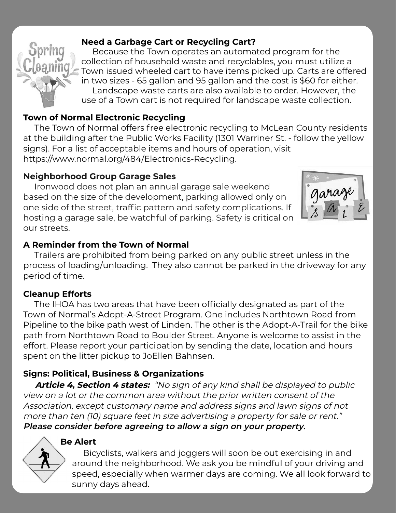#### **Need a Garbage Cart or Recycling Cart?**

 Because the Town operates an automated program for the collection of household waste and recyclables, you must utilize a Town issued wheeled cart to have items picked up. Carts are offered in two sizes - 65 gallon and 95 gallon and the cost is \$60 for either. Landscape waste carts are also available to order. However, the use of a Town cart is not required for landscape waste collection.

#### **Town of Normal Electronic Recycling**

 The Town of Normal offers free electronic recycling to McLean County residents at the building after the Public Works Facility (1301 Warriner St. - follow the yellow signs). For a list of acceptable items and hours of operation, visit https://www.normal.org/484/Electronics-Recycling.

#### **Neighborhood Group Garage Sales**

 Ironwood does not plan an annual garage sale weekend based on the size of the development, parking allowed only on one side of the street, traffic pattern and safety complications. If hosting a garage sale, be watchful of parking. Safety is critical on our streets.



#### **A Reminder from the Town of Normal**

 Trailers are prohibited from being parked on any public street unless in the process of loading/unloading. They also cannot be parked in the driveway for any period of time.

#### **Cleanup Efforts**

 The IHOA has two areas that have been officially designated as part of the Town of Normal's Adopt-A-Street Program. One includes Northtown Road from Pipeline to the bike path west of Linden. The other is the Adopt-A-Trail for the bike path from Northtown Road to Boulder Street. Anyone is welcome to assist in the effort. Please report your participation by sending the date, location and hours spent on the litter pickup to JoEllen Bahnsen.

#### **Signs: Political, Business & Organizations**

 **Article 4, Section 4 states:** "No sign of any kind shall be displayed to public view on a lot or the common area without the prior written consent of the Association, except customary name and address signs and lawn signs of not more than ten (10) square feet in size advertising a property for sale or rent." **Please consider before agreeing to allow a sign on your property.**

#### **Be Alert**

 Bicyclists, walkers and joggers will soon be out exercising in and around the neighborhood. We ask you be mindful of your driving and speed, especially when warmer days are coming. We all look forward to sunny days ahead.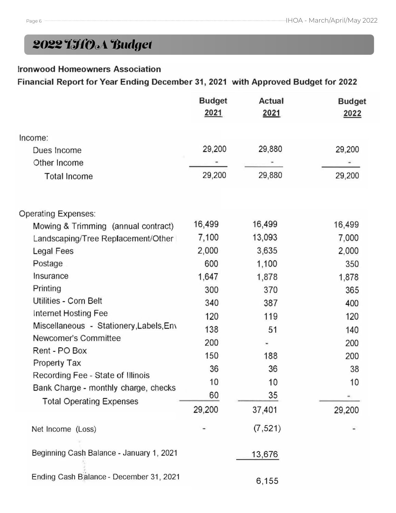## *2022 IHOA Budget*

#### **Ironwood Homeowners Association**

#### Financial Report for Year Ending December 31, 2021 with Approved Budget for 2022

|                                          | <b>Budget</b><br>2021 | Actual<br>2021 | <b>Budget</b><br>2022 |
|------------------------------------------|-----------------------|----------------|-----------------------|
| Income:                                  |                       |                |                       |
| Dues Income                              | 29,200                | 29,880         | 29,200                |
| Other Income                             |                       |                |                       |
| Total Income                             | 29,200                | 29,880         | 29,200                |
| Operating Expenses:                      |                       |                |                       |
| Mowing & Trimming (annual contract)      | 16,499                | 16,499         | 16,499                |
| Landscaping/Tree Replacement/Other       | 7,100                 | 13,093         | 7,000                 |
| Legal Fees                               | 2,000                 | 3,635          | 2,000                 |
| Postage                                  | 600                   | 1,100          | 350                   |
| Insurance                                | 1,647                 | 1,878          | 1,878                 |
| Printing                                 | 300                   | 370            | 365                   |
| Utilities - Corn Belt                    | 340                   | 387            | 400                   |
| Internet Hosting Fee                     | 120                   | 119            | 120                   |
| Miscellaneous - Stationery, Labels, Env  | 138                   | 51             | 140                   |
| Newcomer's Committee                     | 200                   | ٠              | 200                   |
| Rent - PO Box                            | 150                   | 188            | 200                   |
| Property Tax                             | 36                    | 36             | 38                    |
| Recording Fee - State of Illinois        | 10                    | 10             | 10                    |
| Bank Charge - monthly charge, checks     | 60                    | 35             |                       |
| <b>Total Operating Expenses</b>          | 29,200                | 37,401         | 29,200                |
| Net Income (Loss)                        |                       | (7, 521)       |                       |
| Beginning Cash Balance - January 1, 2021 |                       | 13,676         |                       |
| Ending Cash Balance - December 31, 2021  |                       | 6,155          |                       |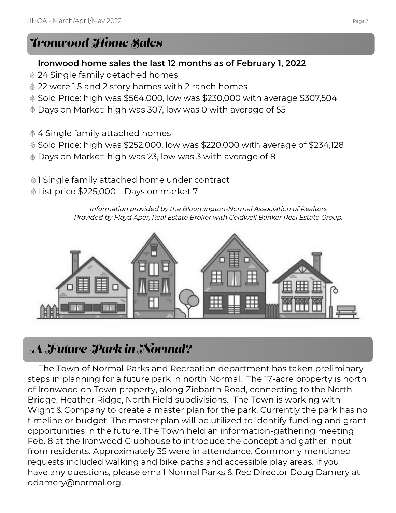## *Ironwood Home Sales*

#### **Ironwood home sales the last 12 months as of February 1, 2022**

- 24 Single family detached homes
- 22 were 1.5 and 2 story homes with 2 ranch homes
- Sold Price: high was \$564,000, low was \$230,000 with average \$307,504
- Days on Market: high was 307, low was 0 with average of 55
- 4 Single family attached homes
- Sold Price: high was \$252,000, low was \$220,000 with average of \$234,128
- Days on Market: high was 23, low was 3 with average of 8
- **1** Single family attached home under contract
- List price \$225,000 Days on market 7

Information provided by the Bloomington-Normal Association of Realtors Provided by Floyd Aper, Real Estate Broker with Coldwell Banker Real Estate Group.



## *A Future Park in Normal?*

 The Town of Normal Parks and Recreation department has taken preliminary steps in planning for a future park in north Normal. The 17-acre property is north of Ironwood on Town property, along Ziebarth Road, connecting to the North Bridge, Heather Ridge, North Field subdivisions. The Town is working with Wight & Company to create a master plan for the park. Currently the park has no timeline or budget. The master plan will be utilized to identify funding and grant opportunities in the future. The Town held an information-gathering meeting Feb. 8 at the Ironwood Clubhouse to introduce the concept and gather input from residents. Approximately 35 were in attendance. Commonly mentioned requests included walking and bike paths and accessible play areas. If you have any questions, please email Normal Parks & Rec Director Doug Damery at ddamery@normal.org.